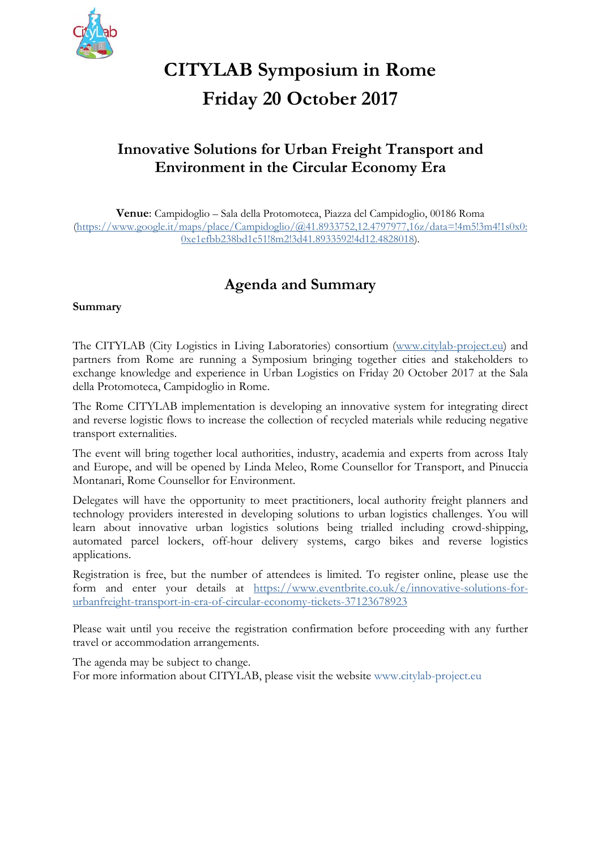

# **CITYLAB Symposium in Rome Friday 20 October 2017**

# **Innovative Solutions for Urban Freight Transport and Environment in the Circular Economy Era**

**Venue**: Campidoglio – Sala della Protomoteca, Piazza del Campidoglio, 00186 Roma (https://www.google.it/maps/place/Campidoglio/@41.8933752,12.4797977,16z/data=!4m5!3m4!1s0x0: 0xe1efbb238bd1c51!8m2!3d41.8933592!4d12.4828018).

# **Agenda and Summary**

### **Summary**

The CITYLAB (City Logistics in Living Laboratories) consortium (www.citylab-project.eu) and partners from Rome are running a Symposium bringing together cities and stakeholders to exchange knowledge and experience in Urban Logistics on Friday 20 October 2017 at the Sala della Protomoteca, Campidoglio in Rome.

The Rome CITYLAB implementation is developing an innovative system for integrating direct and reverse logistic flows to increase the collection of recycled materials while reducing negative transport externalities.

The event will bring together local authorities, industry, academia and experts from across Italy and Europe, and will be opened by Linda Meleo, Rome Counsellor for Transport, and Pinuccia Montanari, Rome Counsellor for Environment.

Delegates will have the opportunity to meet practitioners, local authority freight planners and technology providers interested in developing solutions to urban logistics challenges. You will learn about innovative urban logistics solutions being trialled including crowd-shipping, automated parcel lockers, off-hour delivery systems, cargo bikes and reverse logistics applications.

Registration is free, but the number of attendees is limited. To register online, please use the form and enter your details at https://www.eventbrite.co.uk/e/innovative-solutions-forurbanfreight-transport-in-era-of-circular-economy-tickets-37123678923

Please wait until you receive the registration confirmation before proceeding with any further travel or accommodation arrangements.

The agenda may be subject to change.

For more information about CITYLAB, please visit the website www.citylab-project.eu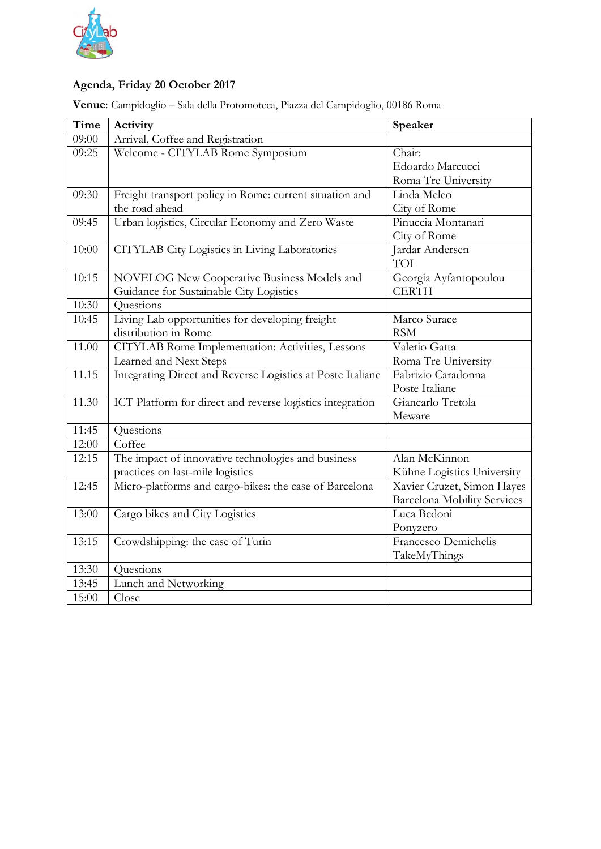

# **Agenda, Friday 20 October 2017**

**Venue**: Campidoglio – Sala della Protomoteca, Piazza del Campidoglio, 00186 Roma

| Time  | Activity                                                   | Speaker                            |
|-------|------------------------------------------------------------|------------------------------------|
| 09:00 | Arrival, Coffee and Registration                           |                                    |
| 09:25 | Welcome - CITYLAB Rome Symposium                           | Chair:                             |
|       |                                                            | Edoardo Marcucci                   |
|       |                                                            | Roma Tre University                |
| 09:30 | Freight transport policy in Rome: current situation and    | Linda Meleo                        |
|       | the road ahead                                             | City of Rome                       |
| 09:45 | Urban logistics, Circular Economy and Zero Waste           | Pinuccia Montanari                 |
|       |                                                            | City of Rome                       |
| 10:00 | CITYLAB City Logistics in Living Laboratories              | Jardar Andersen                    |
|       |                                                            | TOI                                |
| 10:15 | NOVELOG New Cooperative Business Models and                | Georgia Ayfantopoulou              |
|       | Guidance for Sustainable City Logistics                    | <b>CERTH</b>                       |
| 10:30 | Questions                                                  |                                    |
| 10:45 | Living Lab opportunities for developing freight            | Marco Surace                       |
|       | distribution in Rome                                       | <b>RSM</b>                         |
| 11.00 | CITYLAB Rome Implementation: Activities, Lessons           | Valerio Gatta                      |
|       | Learned and Next Steps                                     | Roma Tre University                |
| 11.15 | Integrating Direct and Reverse Logistics at Poste Italiane | Fabrizio Caradonna                 |
|       |                                                            | Poste Italiane                     |
| 11.30 | ICT Platform for direct and reverse logistics integration  | Giancarlo Tretola                  |
|       |                                                            | Meware                             |
| 11:45 | Questions                                                  |                                    |
| 12:00 | Coffee                                                     |                                    |
| 12:15 | The impact of innovative technologies and business         | Alan McKinnon                      |
|       | practices on last-mile logistics                           | Kühne Logistics University         |
| 12:45 | Micro-platforms and cargo-bikes: the case of Barcelona     | Xavier Cruzet, Simon Hayes         |
|       |                                                            | <b>Barcelona Mobility Services</b> |
| 13:00 | Cargo bikes and City Logistics                             | Luca Bedoni                        |
|       |                                                            | Ponyzero                           |
| 13:15 | Crowdshipping: the case of Turin                           | Francesco Demichelis               |
|       |                                                            | TakeMyThings                       |
| 13:30 | Questions                                                  |                                    |
| 13:45 | Lunch and Networking                                       |                                    |
| 15:00 | Close                                                      |                                    |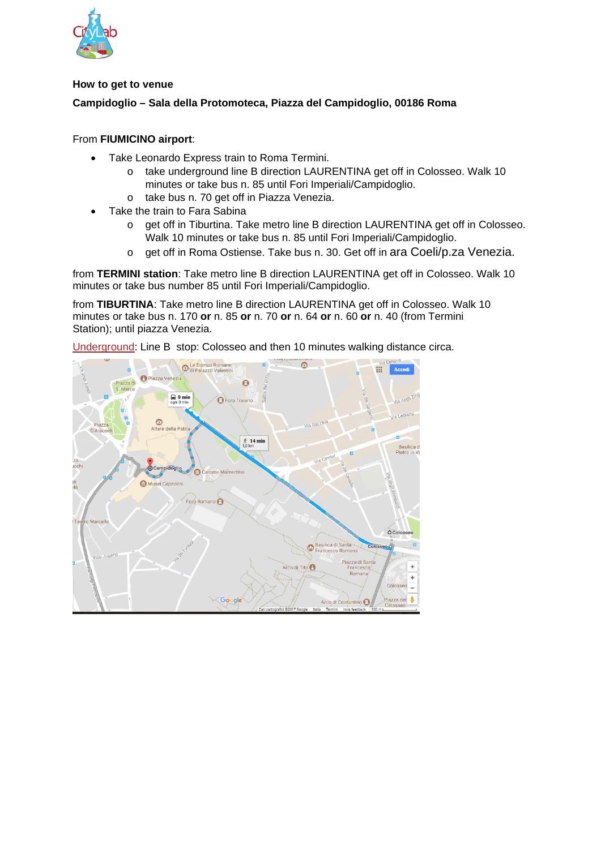

#### **How to get to venue**

## **Campidoglio – Sala della Protomoteca, Piazza del Campidoglio, 00186 Roma**

## From **FIUMICINO airport**:

- Take Leonardo Express train to Roma Termini.
	- o take underground line B direction LAURENTINA get off in Colosseo. Walk 10 minutes or take bus n. 85 until Fori Imperiali/Campidoglio.
	- o take bus n. 70 get off in Piazza Venezia.
- Take the train to Fara Sabina
	- o get off in Tiburtina. Take metro line B direction LAURENTINA get off in Colosseo. Walk 10 minutes or take bus n. 85 until Fori Imperiali/Campidoglio.
	- o get off in Roma Ostiense. Take bus n. 30. Get off in ara Coeli/p.za Venezia.

from **TERMINI station**: Take metro line B direction LAURENTINA get off in Colosseo. Walk 10 minutes or take bus number 85 until Fori Imperiali/Campidoglio.

from **TIBURTINA**: Take metro line B direction LAURENTINA get off in Colosseo. Walk 10 minutes or take bus n. 170 **or** n. 85 **or** n. 70 **or** n. 64 **or** n. 60 **or** n. 40 (from Termini Station); until piazza Venezia.

Underground: Line B stop: Colosseo and then 10 minutes walking distance circa.